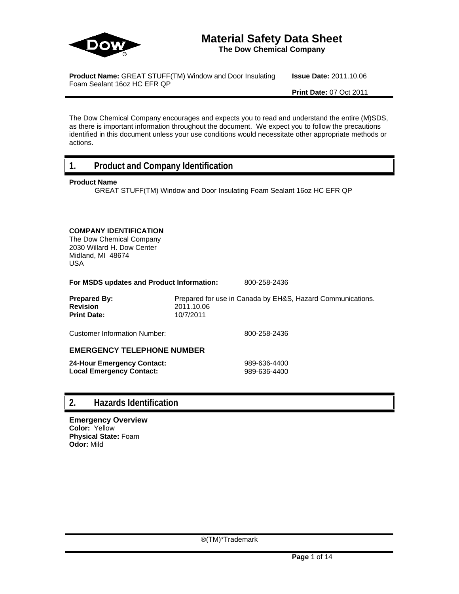

# **Material Safety Data Sheet**

**The Dow Chemical Company**

**Product Name:** GREAT STUFF(TM) Window and Door Insulating Foam Sealant 16oz HC EFR QP

**Issue Date:** 2011.10.06

**Print Date:** 07 Oct 2011

The Dow Chemical Company encourages and expects you to read and understand the entire (M)SDS, as there is important information throughout the document. We expect you to follow the precautions identified in this document unless your use conditions would necessitate other appropriate methods or actions.

## **1. Product and Company Identification**

## **Product Name**

GREAT STUFF(TM) Window and Door Insulating Foam Sealant 16oz HC EFR QP

## **COMPANY IDENTIFICATION**

The Dow Chemical Company 2030 Willard H. Dow Center Midland, MI 48674 USA

**For MSDS updates and Product Information:** 800-258-2436

**Prepared By:** Prepared for use in Canada by EH&S, Hazard Communications. **Revision** 2011.10.06 **Print Date:** 10/7/2011

Customer Information Number: 800-258-2436

## **EMERGENCY TELEPHONE NUMBER**

| 24-Hour Emergency Contact: | 989-636-4400 |
|----------------------------|--------------|
| Local Emergency Contact:   | 989-636-4400 |

## **2. Hazards Identification**

**Emergency Overview Color:** Yellow **Physical State:** Foam **Odor:** Mild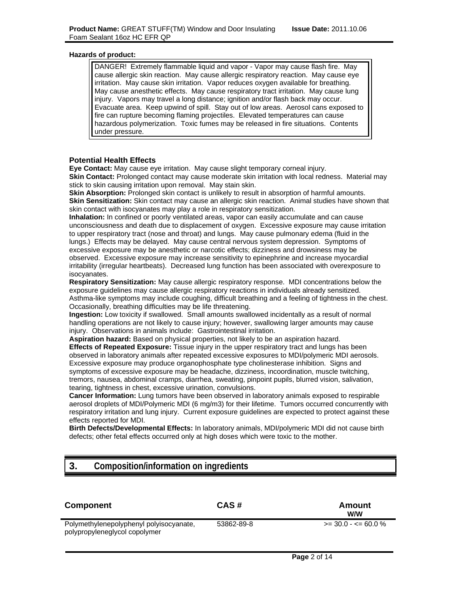### **Hazards of product:**

DANGER! Extremely flammable liquid and vapor - Vapor may cause flash fire. May cause allergic skin reaction. May cause allergic respiratory reaction. May cause eye irritation. May cause skin irritation. Vapor reduces oxygen available for breathing. May cause anesthetic effects. May cause respiratory tract irritation. May cause lung injury. Vapors may travel a long distance; ignition and/or flash back may occur. Evacuate area. Keep upwind of spill. Stay out of low areas. Aerosol cans exposed to fire can rupture becoming flaming projectiles. Elevated temperatures can cause hazardous polymerization. Toxic fumes may be released in fire situations. Contents under pressure.

## **Potential Health Effects**

**Eye Contact:** May cause eye irritation. May cause slight temporary corneal injury.

**Skin Contact:** Prolonged contact may cause moderate skin irritation with local redness. Material may stick to skin causing irritation upon removal. May stain skin.

**Skin Absorption:** Prolonged skin contact is unlikely to result in absorption of harmful amounts. **Skin Sensitization:** Skin contact may cause an allergic skin reaction. Animal studies have shown that skin contact with isocyanates may play a role in respiratory sensitization.

**Inhalation:** In confined or poorly ventilated areas, vapor can easily accumulate and can cause unconsciousness and death due to displacement of oxygen. Excessive exposure may cause irritation to upper respiratory tract (nose and throat) and lungs. May cause pulmonary edema (fluid in the lungs.) Effects may be delayed. May cause central nervous system depression. Symptoms of excessive exposure may be anesthetic or narcotic effects; dizziness and drowsiness may be observed. Excessive exposure may increase sensitivity to epinephrine and increase myocardial irritability (irregular heartbeats). Decreased lung function has been associated with overexposure to isocyanates.

**Respiratory Sensitization:** May cause allergic respiratory response. MDI concentrations below the exposure guidelines may cause allergic respiratory reactions in individuals already sensitized. Asthma-like symptoms may include coughing, difficult breathing and a feeling of tightness in the chest. Occasionally, breathing difficulties may be life threatening.

**Ingestion:** Low toxicity if swallowed. Small amounts swallowed incidentally as a result of normal handling operations are not likely to cause injury; however, swallowing larger amounts may cause injury. Observations in animals include: Gastrointestinal irritation.

**Aspiration hazard:** Based on physical properties, not likely to be an aspiration hazard. **Effects of Repeated Exposure:** Tissue injury in the upper respiratory tract and lungs has been observed in laboratory animals after repeated excessive exposures to MDI/polymeric MDI aerosols. Excessive exposure may produce organophosphate type cholinesterase inhibition. Signs and symptoms of excessive exposure may be headache, dizziness, incoordination, muscle twitching, tremors, nausea, abdominal cramps, diarrhea, sweating, pinpoint pupils, blurred vision, salivation, tearing, tightness in chest, excessive urination, convulsions.

**Cancer Information:** Lung tumors have been observed in laboratory animals exposed to respirable aerosol droplets of MDI/Polymeric MDI (6 mg/m3) for their lifetime. Tumors occurred concurrently with respiratory irritation and lung injury. Current exposure guidelines are expected to protect against these effects reported for MDI.

**Birth Defects/Developmental Effects:** In laboratory animals, MDI/polymeric MDI did not cause birth defects; other fetal effects occurred only at high doses which were toxic to the mother.

## **3. Composition/information on ingredients**

| <b>Component</b>                                                         | CAS#       | Amount<br><b>W/W</b>   |
|--------------------------------------------------------------------------|------------|------------------------|
| Polymethylenepolyphenyl polyisocyanate,<br>polypropyleneglycol copolymer | 53862-89-8 | $>=$ 30.0 - $=$ 60.0 % |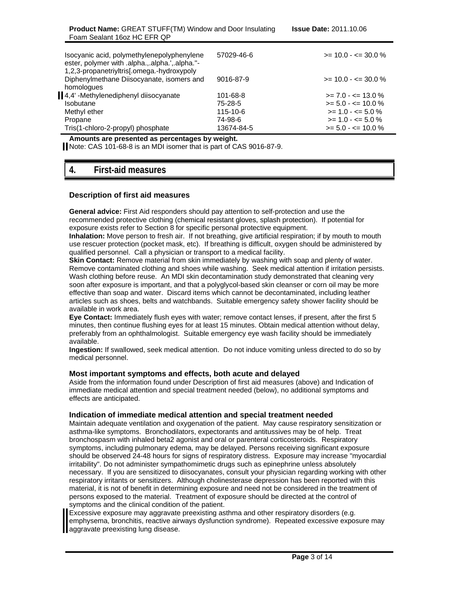| Isocyanic acid, polymethylenepolyphenylene<br>ester, polymer with .alpha.,.alpha.',.alpha."-          | 57029-46-6     | $>= 10.0 - \le 30.0 \%$ |
|-------------------------------------------------------------------------------------------------------|----------------|-------------------------|
| 1,2,3-propanetriyltris[.omega.-hydroxypoly<br>Diphenylmethane Diisocyanate, isomers and<br>homologues | 9016-87-9      | $>= 10.0 - \le 30.0 \%$ |
| 4,4' -Methylenediphenyl diisocyanate                                                                  | 101-68-8       | $>= 7.0 - \le 13.0 \%$  |
| <b>Isobutane</b>                                                                                      | 75-28-5        | $>= 5.0 - \le 10.0 \%$  |
| Methyl ether                                                                                          | $115 - 10 - 6$ | $>= 1.0 - \le 5.0 \%$   |
| Propane                                                                                               | 74-98-6        | $>= 1.0 - \le 5.0 \%$   |
| Tris(1-chloro-2-propyl) phosphate                                                                     | 13674-84-5     | $>= 5.0 - \le 10.0 \%$  |

**Amounts are presented as percentages by weight.**

Note: CAS 101-68-8 is an MDI isomer that is part of CAS 9016-87-9.

## **4. First-aid measures**

## **Description of first aid measures**

**General advice:** First Aid responders should pay attention to self-protection and use the recommended protective clothing (chemical resistant gloves, splash protection). If potential for exposure exists refer to Section 8 for specific personal protective equipment.

**Inhalation:** Move person to fresh air. If not breathing, give artificial respiration; if by mouth to mouth use rescuer protection (pocket mask, etc). If breathing is difficult, oxygen should be administered by qualified personnel. Call a physician or transport to a medical facility.

**Skin Contact:** Remove material from skin immediately by washing with soap and plenty of water. Remove contaminated clothing and shoes while washing. Seek medical attention if irritation persists. Wash clothing before reuse. An MDI skin decontamination study demonstrated that cleaning very soon after exposure is important, and that a polyglycol-based skin cleanser or corn oil may be more effective than soap and water. Discard items which cannot be decontaminated, including leather articles such as shoes, belts and watchbands. Suitable emergency safety shower facility should be available in work area.

**Eye Contact:** Immediately flush eyes with water; remove contact lenses, if present, after the first 5 minutes, then continue flushing eyes for at least 15 minutes. Obtain medical attention without delay, preferably from an ophthalmologist. Suitable emergency eye wash facility should be immediately available.

**Ingestion:** If swallowed, seek medical attention. Do not induce vomiting unless directed to do so by medical personnel.

### **Most important symptoms and effects, both acute and delayed**

Aside from the information found under Description of first aid measures (above) and Indication of immediate medical attention and special treatment needed (below), no additional symptoms and effects are anticipated.

### **Indication of immediate medical attention and special treatment needed**

Maintain adequate ventilation and oxygenation of the patient. May cause respiratory sensitization or asthma-like symptoms. Bronchodilators, expectorants and antitussives may be of help. Treat bronchospasm with inhaled beta2 agonist and oral or parenteral corticosteroids. Respiratory symptoms, including pulmonary edema, may be delayed. Persons receiving significant exposure should be observed 24-48 hours for signs of respiratory distress. Exposure may increase "myocardial irritability". Do not administer sympathomimetic drugs such as epinephrine unless absolutely necessary. If you are sensitized to diisocyanates, consult your physician regarding working with other respiratory irritants or sensitizers. Although cholinesterase depression has been reported with this material, it is not of benefit in determining exposure and need not be considered in the treatment of persons exposed to the material. Treatment of exposure should be directed at the control of symptoms and the clinical condition of the patient.

Excessive exposure may aggravate preexisting asthma and other respiratory disorders (e.g. emphysema, bronchitis, reactive airways dysfunction syndrome). Repeated excessive exposure may aggravate preexisting lung disease.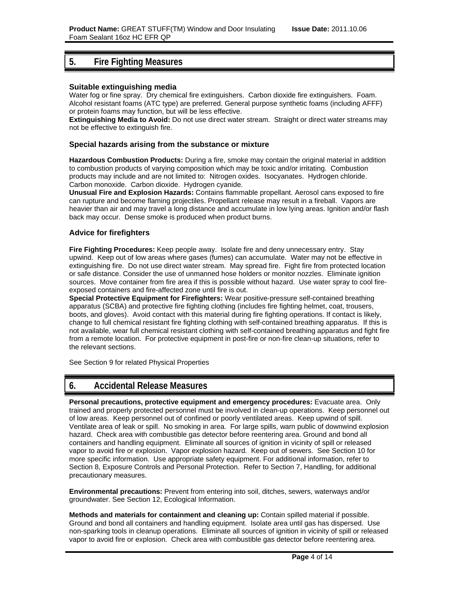## **5. Fire Fighting Measures**

## **Suitable extinguishing media**

Water fog or fine spray. Dry chemical fire extinguishers. Carbon dioxide fire extinguishers. Foam. Alcohol resistant foams (ATC type) are preferred. General purpose synthetic foams (including AFFF) or protein foams may function, but will be less effective.

**Extinguishing Media to Avoid:** Do not use direct water stream. Straight or direct water streams may not be effective to extinguish fire.

## **Special hazards arising from the substance or mixture**

**Hazardous Combustion Products:** During a fire, smoke may contain the original material in addition to combustion products of varying composition which may be toxic and/or irritating. Combustion products may include and are not limited to: Nitrogen oxides. Isocyanates. Hydrogen chloride. Carbon monoxide. Carbon dioxide. Hydrogen cyanide.

**Unusual Fire and Explosion Hazards:** Contains flammable propellant. Aerosol cans exposed to fire can rupture and become flaming projectiles. Propellant release may result in a fireball. Vapors are heavier than air and may travel a long distance and accumulate in low lying areas. Ignition and/or flash back may occur. Dense smoke is produced when product burns.

## **Advice for firefighters**

**Fire Fighting Procedures:** Keep people away. Isolate fire and deny unnecessary entry. Stay upwind. Keep out of low areas where gases (fumes) can accumulate. Water may not be effective in extinguishing fire. Do not use direct water stream. May spread fire. Fight fire from protected location or safe distance. Consider the use of unmanned hose holders or monitor nozzles. Eliminate ignition sources. Move container from fire area if this is possible without hazard. Use water spray to cool fireexposed containers and fire-affected zone until fire is out.

**Special Protective Equipment for Firefighters:** Wear positive-pressure self-contained breathing apparatus (SCBA) and protective fire fighting clothing (includes fire fighting helmet, coat, trousers, boots, and gloves). Avoid contact with this material during fire fighting operations. If contact is likely, change to full chemical resistant fire fighting clothing with self-contained breathing apparatus. If this is not available, wear full chemical resistant clothing with self-contained breathing apparatus and fight fire from a remote location. For protective equipment in post-fire or non-fire clean-up situations, refer to the relevant sections.

See Section 9 for related Physical Properties

## **6. Accidental Release Measures**

**Personal precautions, protective equipment and emergency procedures:** Evacuate area. Only trained and properly protected personnel must be involved in clean-up operations. Keep personnel out of low areas. Keep personnel out of confined or poorly ventilated areas. Keep upwind of spill. Ventilate area of leak or spill. No smoking in area. For large spills, warn public of downwind explosion hazard. Check area with combustible gas detector before reentering area. Ground and bond all containers and handling equipment. Eliminate all sources of ignition in vicinity of spill or released vapor to avoid fire or explosion. Vapor explosion hazard. Keep out of sewers. See Section 10 for more specific information. Use appropriate safety equipment. For additional information, refer to Section 8, Exposure Controls and Personal Protection. Refer to Section 7, Handling, for additional precautionary measures.

**Environmental precautions:** Prevent from entering into soil, ditches, sewers, waterways and/or groundwater. See Section 12, Ecological Information.

**Methods and materials for containment and cleaning up:** Contain spilled material if possible. Ground and bond all containers and handling equipment. Isolate area until gas has dispersed. Use non-sparking tools in cleanup operations. Eliminate all sources of ignition in vicinity of spill or released vapor to avoid fire or explosion. Check area with combustible gas detector before reentering area.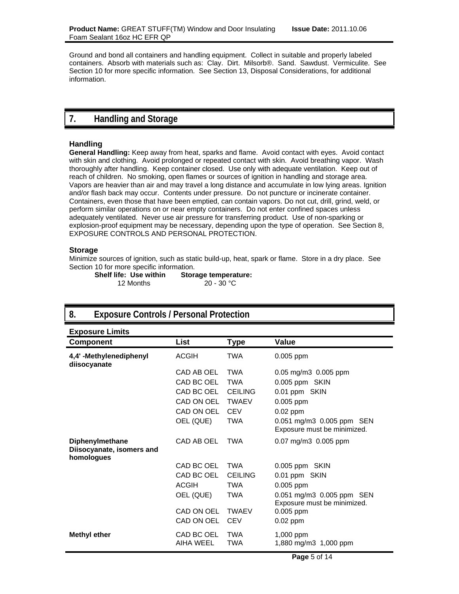Ground and bond all containers and handling equipment. Collect in suitable and properly labeled containers. Absorb with materials such as: Clay. Dirt. Milsorb®. Sand. Sawdust. Vermiculite. See Section 10 for more specific information. See Section 13, Disposal Considerations, for additional information.

## **7. Handling and Storage**

## **Handling**

**General Handling:** Keep away from heat, sparks and flame. Avoid contact with eyes. Avoid contact with skin and clothing. Avoid prolonged or repeated contact with skin. Avoid breathing vapor. Wash thoroughly after handling. Keep container closed. Use only with adequate ventilation. Keep out of reach of children. No smoking, open flames or sources of ignition in handling and storage area. Vapors are heavier than air and may travel a long distance and accumulate in low lying areas. Ignition and/or flash back may occur. Contents under pressure. Do not puncture or incinerate container. Containers, even those that have been emptied, can contain vapors. Do not cut, drill, grind, weld, or perform similar operations on or near empty containers. Do not enter confined spaces unless adequately ventilated. Never use air pressure for transferring product. Use of non-sparking or explosion-proof equipment may be necessary, depending upon the type of operation. See Section 8, EXPOSURE CONTROLS AND PERSONAL PROTECTION.

### **Storage**

Minimize sources of ignition, such as static build-up, heat, spark or flame. Store in a dry place. See Section 10 for more specific information.

| <b>Shelf life: Use within</b> | <b>Storage temperature:</b> |
|-------------------------------|-----------------------------|
| 12 Months                     | $20 - 30 °C$                |

## **8. Exposure Controls / Personal Protection Exposure Limits Component List Type Value 4,4' -Methylenediphenyl diisocyanate** ACGIH TWA 0.005 ppm CAD AB OEL TWA 0.05 mg/m3 0.005 ppm CAD BC OEL TWA 0.005 ppm SKIN

|                                                                   | CAD BC OEL              | TWA            | 0.005 ppm SKIN                                           |
|-------------------------------------------------------------------|-------------------------|----------------|----------------------------------------------------------|
|                                                                   | CAD BC OEL              | <b>CEILING</b> | 0.01 ppm SKIN                                            |
|                                                                   | CAD ON OEL              | <b>TWAEV</b>   | $0.005$ ppm                                              |
|                                                                   | CAD ON OEL              | <b>CEV</b>     | $0.02$ ppm                                               |
|                                                                   | OEL (QUE)               | TWA            | 0.051 mg/m3 0.005 ppm SEN<br>Exposure must be minimized. |
| <b>Diphenylmethane</b><br>Diisocyanate, isomers and<br>homologues | CAD AB OEL              | TWA            | $0.07 \text{ mg/m}$ 3 0.005 ppm                          |
|                                                                   | CAD BC OEL              | TWA            | 0.005 ppm SKIN                                           |
|                                                                   | CAD BC OEL              | <b>CEILING</b> | 0.01 ppm SKIN                                            |
|                                                                   | <b>ACGIH</b>            | TWA            | $0.005$ ppm                                              |
|                                                                   | OEL (QUE)               | TWA            | 0.051 mg/m3 0.005 ppm SEN<br>Exposure must be minimized. |
|                                                                   | CAD ON OEL              | <b>TWAEV</b>   | $0.005$ ppm                                              |
|                                                                   | CAD ON OEL              | <b>CEV</b>     | $0.02$ ppm                                               |
| <b>Methyl ether</b>                                               | CAD BC OEL<br>AIHA WEEL | TWA<br>TWA     | 1,000 ppm<br>1,880 mg/m3 1,000 ppm                       |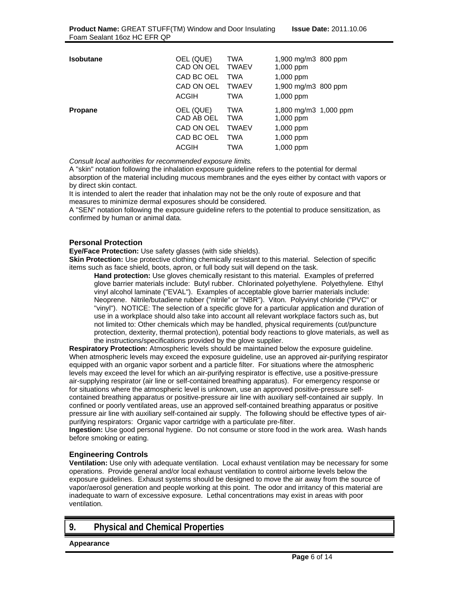| Isobutane | OEL (QUE)<br>CAD ON OEL TWAEV<br>CAD BC OEL<br>CAD ON OEL<br><b>ACGIH</b> | TWA<br><b>TWA</b><br><b>TWAEV</b><br><b>TWA</b>        | 1,900 mg/m3 800 ppm<br>$1,000$ ppm<br>1,000 ppm<br>1,900 mg/m3 800 ppm<br>1,000 ppm |  |
|-----------|---------------------------------------------------------------------------|--------------------------------------------------------|-------------------------------------------------------------------------------------|--|
| Propane   | OEL (QUE)<br>CAD AB OEL<br>CAD ON OEL<br>CAD BC OEL<br><b>ACGIH</b>       | TWA<br><b>TWA</b><br><b>TWAEV</b><br><b>TWA</b><br>TWA | 1,800 mg/m3 1,000 ppm<br>$1,000$ ppm<br>$1,000$ ppm<br>1,000 ppm<br>1,000 ppm       |  |

*Consult local authorities for recommended exposure limits.*

A "skin" notation following the inhalation exposure guideline refers to the potential for dermal absorption of the material including mucous membranes and the eyes either by contact with vapors or by direct skin contact.

It is intended to alert the reader that inhalation may not be the only route of exposure and that measures to minimize dermal exposures should be considered.

A "SEN" notation following the exposure guideline refers to the potential to produce sensitization, as confirmed by human or animal data.

## **Personal Protection**

**Eye/Face Protection:** Use safety glasses (with side shields).

**Skin Protection:** Use protective clothing chemically resistant to this material. Selection of specific items such as face shield, boots, apron, or full body suit will depend on the task.

**Hand protection:** Use gloves chemically resistant to this material. Examples of preferred glove barrier materials include: Butyl rubber. Chlorinated polyethylene. Polyethylene. Ethyl vinyl alcohol laminate ("EVAL"). Examples of acceptable glove barrier materials include: Neoprene. Nitrile/butadiene rubber ("nitrile" or "NBR"). Viton. Polyvinyl chloride ("PVC" or "vinyl"). NOTICE: The selection of a specific glove for a particular application and duration of use in a workplace should also take into account all relevant workplace factors such as, but not limited to: Other chemicals which may be handled, physical requirements (cut/puncture protection, dexterity, thermal protection), potential body reactions to glove materials, as well as the instructions/specifications provided by the glove supplier.

**Respiratory Protection:** Atmospheric levels should be maintained below the exposure guideline. When atmospheric levels may exceed the exposure guideline, use an approved air-purifying respirator equipped with an organic vapor sorbent and a particle filter. For situations where the atmospheric levels may exceed the level for which an air-purifying respirator is effective, use a positive-pressure air-supplying respirator (air line or self-contained breathing apparatus). For emergency response or for situations where the atmospheric level is unknown, use an approved positive-pressure selfcontained breathing apparatus or positive-pressure air line with auxiliary self-contained air supply. In confined or poorly ventilated areas, use an approved self-contained breathing apparatus or positive pressure air line with auxiliary self-contained air supply. The following should be effective types of airpurifying respirators: Organic vapor cartridge with a particulate pre-filter.

**Ingestion:** Use good personal hygiene. Do not consume or store food in the work area. Wash hands before smoking or eating.

## **Engineering Controls**

**Ventilation:** Use only with adequate ventilation. Local exhaust ventilation may be necessary for some operations. Provide general and/or local exhaust ventilation to control airborne levels below the exposure guidelines. Exhaust systems should be designed to move the air away from the source of vapor/aerosol generation and people working at this point. The odor and irritancy of this material are inadequate to warn of excessive exposure. Lethal concentrations may exist in areas with poor ventilation.

## **9. Physical and Chemical Properties**

**Appearance**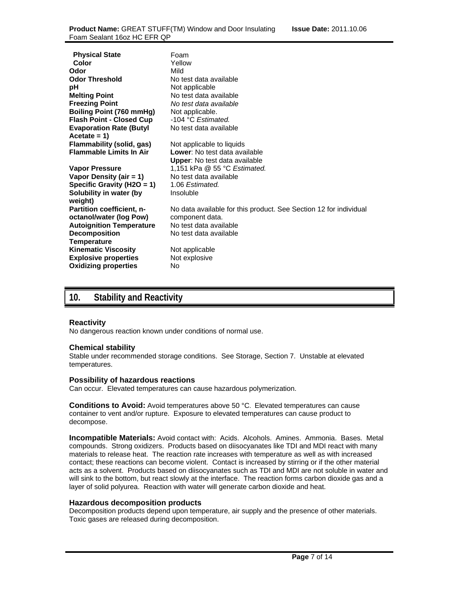| <b>Physical State</b>            | Foam                                                              |
|----------------------------------|-------------------------------------------------------------------|
| Color                            | Yellow                                                            |
| Odor                             | Mild                                                              |
| <b>Odor Threshold</b>            | No test data available                                            |
| рH                               | Not applicable                                                    |
| <b>Melting Point</b>             | No test data available                                            |
| <b>Freezing Point</b>            | No test data available                                            |
| <b>Boiling Point (760 mmHg)</b>  | Not applicable.                                                   |
| <b>Flash Point - Closed Cup</b>  | -104 °C Estimated.                                                |
| <b>Evaporation Rate (Butyl</b>   | No test data available                                            |
| $Accetate = 1$                   |                                                                   |
| Flammability (solid, gas)        | Not applicable to liquids                                         |
| <b>Flammable Limits In Air</b>   | Lower: No test data available                                     |
|                                  | <b>Upper:</b> No test data available                              |
| Vapor Pressure                   | 1,151 kPa @ 55 °C Estimated.                                      |
| Vapor Density (air = $1$ )       | No test data available                                            |
| Specific Gravity (H2O = 1)       | 1.06 Estimated.                                                   |
| Solubility in water (by          | Insoluble                                                         |
| weight)                          |                                                                   |
| <b>Partition coefficient, n-</b> | No data available for this product. See Section 12 for individual |
| octanol/water (log Pow)          | component data.                                                   |
| <b>Autoignition Temperature</b>  | No test data available                                            |
| <b>Decomposition</b>             | No test data available                                            |
| <b>Temperature</b>               |                                                                   |
| <b>Kinematic Viscosity</b>       | Not applicable                                                    |
| <b>Explosive properties</b>      | Not explosive                                                     |
| <b>Oxidizing properties</b>      | No                                                                |

## **10. Stability and Reactivity**

## **Reactivity**

No dangerous reaction known under conditions of normal use.

### **Chemical stability**

Stable under recommended storage conditions. See Storage, Section 7. Unstable at elevated temperatures.

### **Possibility of hazardous reactions**

Can occur. Elevated temperatures can cause hazardous polymerization.

**Conditions to Avoid:** Avoid temperatures above 50 °C. Elevated temperatures can cause container to vent and/or rupture. Exposure to elevated temperatures can cause product to decompose.

**Incompatible Materials:** Avoid contact with: Acids. Alcohols. Amines. Ammonia. Bases. Metal compounds. Strong oxidizers. Products based on diisocyanates like TDI and MDI react with many materials to release heat. The reaction rate increases with temperature as well as with increased contact; these reactions can become violent. Contact is increased by stirring or if the other material acts as a solvent. Products based on diisocyanates such as TDI and MDI are not soluble in water and will sink to the bottom, but react slowly at the interface. The reaction forms carbon dioxide gas and a layer of solid polyurea. Reaction with water will generate carbon dioxide and heat.

### **Hazardous decomposition products**

Decomposition products depend upon temperature, air supply and the presence of other materials. Toxic gases are released during decomposition.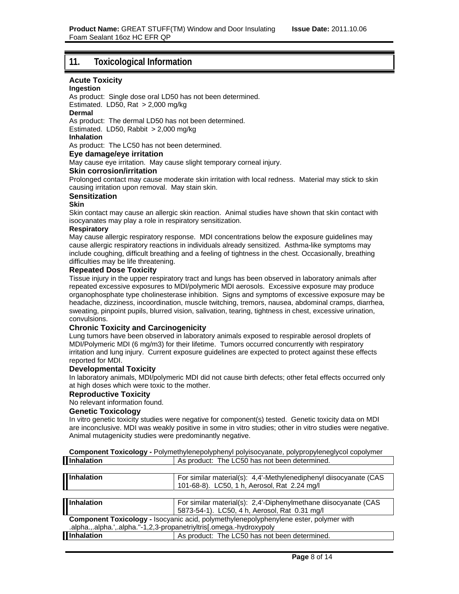## **11. Toxicological Information**

## **Acute Toxicity**

## **Ingestion**

As product: Single dose oral LD50 has not been determined. Estimated. LD50, Rat > 2,000 mg/kg

## **Dermal**

As product: The dermal LD50 has not been determined.

Estimated. LD50, Rabbit > 2,000 mg/kg

## **Inhalation**

As product: The LC50 has not been determined.

## **Eye damage/eye irritation**

May cause eye irritation. May cause slight temporary corneal injury.

## **Skin corrosion/irritation**

Prolonged contact may cause moderate skin irritation with local redness. Material may stick to skin causing irritation upon removal. May stain skin.

## **Sensitization**

## **Skin**

Skin contact may cause an allergic skin reaction. Animal studies have shown that skin contact with isocyanates may play a role in respiratory sensitization.

## **Respiratory**

May cause allergic respiratory response. MDI concentrations below the exposure guidelines may cause allergic respiratory reactions in individuals already sensitized. Asthma-like symptoms may include coughing, difficult breathing and a feeling of tightness in the chest. Occasionally, breathing difficulties may be life threatening.

## **Repeated Dose Toxicity**

Tissue injury in the upper respiratory tract and lungs has been observed in laboratory animals after repeated excessive exposures to MDI/polymeric MDI aerosols. Excessive exposure may produce organophosphate type cholinesterase inhibition. Signs and symptoms of excessive exposure may be headache, dizziness, incoordination, muscle twitching, tremors, nausea, abdominal cramps, diarrhea, sweating, pinpoint pupils, blurred vision, salivation, tearing, tightness in chest, excessive urination, convulsions.

## **Chronic Toxicity and Carcinogenicity**

Lung tumors have been observed in laboratory animals exposed to respirable aerosol droplets of MDI/Polymeric MDI (6 mg/m3) for their lifetime. Tumors occurred concurrently with respiratory irritation and lung injury. Current exposure guidelines are expected to protect against these effects reported for MDI.

## **Developmental Toxicity**

In laboratory animals, MDI/polymeric MDI did not cause birth defects; other fetal effects occurred only at high doses which were toxic to the mother.

## **Reproductive Toxicity**

No relevant information found.

### **Genetic Toxicology**

In vitro genetic toxicity studies were negative for component(s) tested. Genetic toxicity data on MDI are inconclusive. MDI was weakly positive in some in vitro studies; other in vitro studies were negative. Animal mutagenicity studies were predominantly negative.

**Component Toxicology -** Polymethylenepolyphenyl polyisocyanate, polypropyleneglycol copolymer

| <b>Inhalation</b>                                                                     | As product: The LC50 has not been determined.                     |  |
|---------------------------------------------------------------------------------------|-------------------------------------------------------------------|--|
|                                                                                       |                                                                   |  |
| Inhalation                                                                            | For similar material(s): 4,4'-Methylenediphenyl diisocyanate (CAS |  |
|                                                                                       | 101-68-8). LC50, 1 h, Aerosol, Rat 2.24 mg/l                      |  |
|                                                                                       |                                                                   |  |
| Inhalation                                                                            | For similar material(s): 2,4'-Diphenylmethane diisocyanate (CAS   |  |
|                                                                                       | 5873-54-1). LC50, 4 h, Aerosol, Rat 0.31 mg/l                     |  |
| Component Toxicology - Isocyanic acid, polymethylenepolyphenylene ester, polymer with |                                                                   |  |
| .alpha.,.alpha.',.alpha."-1,2,3-propanetriyltris[.omega.-hydroxypoly                  |                                                                   |  |
| <b>Inhalation</b>                                                                     | As product: The LC50 has not been determined.                     |  |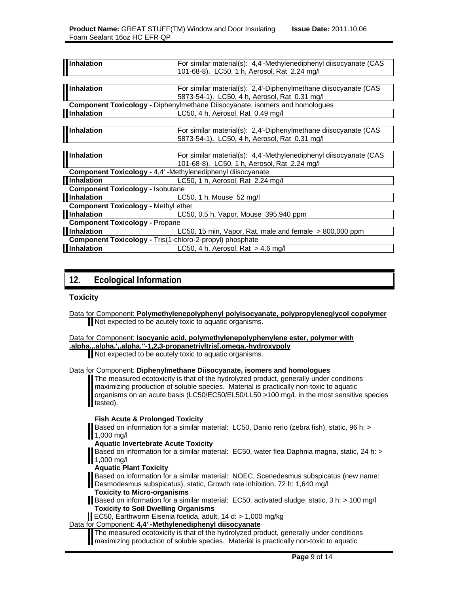| <b>Inhalation</b>                                           | For similar material(s): 4,4'-Methylenediphenyl diisocyanate (CAS                  |
|-------------------------------------------------------------|------------------------------------------------------------------------------------|
|                                                             | 101-68-8). LC50, 1 h, Aerosol, Rat 2.24 mg/l                                       |
|                                                             |                                                                                    |
| <b>II</b> Inhalation                                        | For similar material(s): 2,4'-Diphenylmethane diisocyanate (CAS                    |
|                                                             | 5873-54-1). LC50, 4 h, Aerosol, Rat 0.31 mg/l                                      |
|                                                             | <b>Component Toxicology - Diphenylmethane Diisocyanate, isomers and homologues</b> |
| <b>Inhalation</b>                                           | LC50, 4 h, Aerosol, Rat 0.49 mg/l                                                  |
|                                                             |                                                                                    |
| <b>Inhalation</b>                                           | For similar material(s): 2,4'-Diphenylmethane diisocyanate (CAS                    |
|                                                             | 5873-54-1). LC50, 4 h, Aerosol, Rat 0.31 mg/l                                      |
|                                                             |                                                                                    |
| Inhalation                                                  | For similar material(s): 4,4'-Methylenediphenyl diisocyanate (CAS                  |
|                                                             | 101-68-8). LC50, 1 h, Aerosol, Rat 2.24 mg/l                                       |
| Component Toxicology - 4,4' -Methylenediphenyl diisocyanate |                                                                                    |
| <b>Illnhalation</b>                                         | LC50, 1 h, Aerosol, Rat 2.24 mg/l                                                  |
| <b>Component Toxicology - Isobutane</b>                     |                                                                                    |
| <b>Illnhalation</b>                                         | LC50, 1 h, Mouse 52 mg/l                                                           |
| <b>Component Toxicology - Methyl ether</b>                  |                                                                                    |
| <b>Inhalation</b>                                           | LC50, 0.5 h, Vapor, Mouse 395,940 ppm                                              |
| <b>Component Toxicology - Propane</b>                       |                                                                                    |
| <b>Illnhalation</b>                                         | LC50, 15 min, Vapor, Rat, male and female $> 800,000$ ppm                          |
| Component Toxicology - Tris(1-chloro-2-propyl) phosphate    |                                                                                    |
| <b>Illnhalation</b>                                         | LC50, 4 h, Aerosol, Rat $>$ 4.6 mg/l                                               |
|                                                             |                                                                                    |

## **12. Ecological Information**

## **Toxicity**

## Data for Component: **Isocyanic acid, polymethylenepolyphenylene ester, polymer with**

**.alpha.,.alpha.',.alpha.''-1,2,3-propanetriyltris[.omega.-hydroxypoly**

Not expected to be acutely toxic to aquatic organisms.

## Data for Component: **Diphenylmethane Diisocyanate, isomers and homologues**

The measured ecotoxicity is that of the hydrolyzed product, generally under conditions maximizing production of soluble species. Material is practically non-toxic to aquatic organisms on an acute basis (LC50/EC50/EL50/LL50 >100 mg/L in the most sensitive species tested).

## **Fish Acute & Prolonged Toxicity**

Based on information for a similar material: LC50, Danio rerio (zebra fish), static, 96 h: > 1,000 mg/l

**Aquatic Invertebrate Acute Toxicity** 

Based on information for a similar material: EC50, water flea Daphnia magna, static, 24 h: > 1,000 mg/l

**Aquatic Plant Toxicity** 

Based on information for a similar material: NOEC, Scenedesmus subspicatus (new name: Desmodesmus subspicatus), static, Growth rate inhibition, 72 h: 1,640 mg/l

- **Toxicity to Micro-organisms**
- Based on information for a similar material: EC50; activated sludge, static, 3 h: > 100 mg/l **Toxicity to Soil Dwelling Organisms**
- EC50, Earthworm Eisenia foetida, adult, 14 d: > 1,000 mg/kg

## Data for Component: **4,4' -Methylenediphenyl diisocyanate**

The measured ecotoxicity is that of the hydrolyzed product, generally under conditions maximizing production of soluble species. Material is practically non-toxic to aquatic

Data for Component: **Polymethylenepolyphenyl polyisocyanate, polypropyleneglycol copolymer** Not expected to be acutely toxic to aquatic organisms.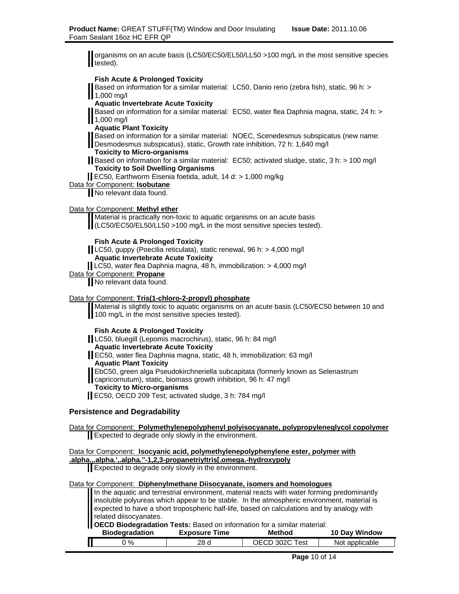organisms on an acute basis (LC50/EC50/EL50/LL50 >100 mg/L in the most sensitive species tested).

### **Fish Acute & Prolonged Toxicity**

Based on information for a similar material: LC50, Danio rerio (zebra fish), static, 96 h: > 1,000 mg/l

## **Aquatic Invertebrate Acute Toxicity**

Based on information for a similar material: EC50, water flea Daphnia magna, static, 24 h: > **1,000 mg/l** 

**Aquatic Plant Toxicity** 

Based on information for a similar material: NOEC, Scenedesmus subspicatus (new name:

Desmodesmus subspicatus), static, Growth rate inhibition, 72 h: 1,640 mg/l

**Toxicity to Micro-organisms** 

Based on information for a similar material: EC50; activated sludge, static, 3 h: > 100 mg/l **Toxicity to Soil Dwelling Organisms** 

EC50, Earthworm Eisenia foetida, adult, 14 d: > 1,000 mg/kg

Data for Component: **Isobutane**

No relevant data found.

### Data for Component: **Methyl ether**

Material is practically non-toxic to aquatic organisms on an acute basis (LC50/EC50/EL50/LL50 >100 mg/L in the most sensitive species tested).

### **Fish Acute & Prolonged Toxicity**

LC50, guppy (Poecilia reticulata), static renewal, 96 h: > 4,000 mg/l **Aquatic Invertebrate Acute Toxicity** 

LC50, water flea Daphnia magna, 48 h, immobilization: > 4,000 mg/l

Data for Component: **Propane**

No relevant data found.

### Data for Component: **Tris(1-chloro-2-propyl) phosphate**

Material is slightly toxic to aquatic organisms on an acute basis (LC50/EC50 between 10 and 100 mg/L in the most sensitive species tested).

### **Fish Acute & Prolonged Toxicity**

LC50, bluegill (Lepomis macrochirus), static, 96 h: 84 mg/l **Aquatic Invertebrate Acute Toxicity** 

EC50, water flea Daphnia magna, static, 48 h, immobilization: 63 mg/l

**Aquatic Plant Toxicity** 

EbC50, green alga Pseudokirchneriella subcapitata (formerly known as Selenastrum

capricornutum), static, biomass growth inhibition, 96 h: 47 mg/l

## **Toxicity to Micro-organisms**

EC50, OECD 209 Test; activated sludge, 3 h: 784 mg/l

### **Persistence and Degradability**

| Data for Component: Polymethylenepolyphenyl polyisocyanate, polypropyleneglycol copolymer                                                                                                                                     |
|-------------------------------------------------------------------------------------------------------------------------------------------------------------------------------------------------------------------------------|
| Expected to degrade only slowly in the environment.                                                                                                                                                                           |
| Data for Component: Isocyanic acid, polymethylenepolyphenylene ester, polymer with                                                                                                                                            |
|                                                                                                                                                                                                                               |
| alphaalpha.',.alpha.''-1,2,3-propanetriyltris[.omega.-hydroxypoly<br>Expected to degrade only slowly in the environment.                                                                                                      |
| Data for Component: Diphenylmethane Diisocyanate, isomers and homologues                                                                                                                                                      |
| In the aquatic and terrestrial environment, material reacts with water forming predominantly insoluble polyureas which appear to be stable. In the atmospheric environment, material is expected to have a short tropospheric |
|                                                                                                                                                                                                                               |
|                                                                                                                                                                                                                               |
| related diisocyanates.                                                                                                                                                                                                        |

**OECD Biodegradation Tests:** Based on information for a similar material:

| <b>Biodegradation</b> | <b>Exposure Time</b> | Method         | <b>10 Day Window</b> |
|-----------------------|----------------------|----------------|----------------------|
| $^{\circ}$ %          | 28 d                 | OECD 302C Test | Not applicable       |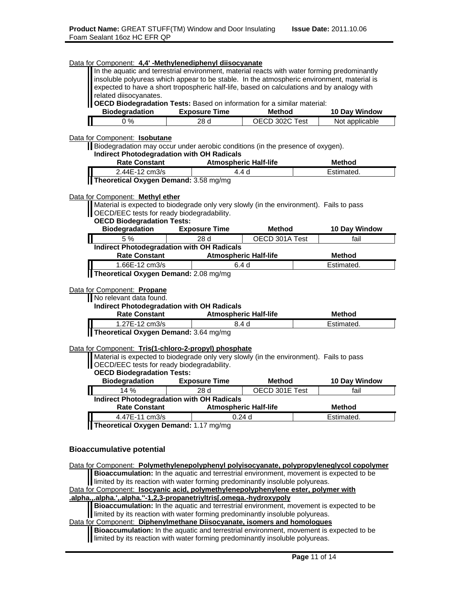| Data for Component: 4,4' -Methylenediphenyl diisocyanate                                                                                                                                   |                      |                              |                                 |
|--------------------------------------------------------------------------------------------------------------------------------------------------------------------------------------------|----------------------|------------------------------|---------------------------------|
| In the aquatic and terrestrial environment, material reacts with water forming predominantly<br>insoluble polyureas which appear to be stable. In the atmospheric environment, material is |                      |                              |                                 |
| expected to have a short tropospheric half-life, based on calculations and by analogy with                                                                                                 |                      |                              |                                 |
| related diisocyanates.                                                                                                                                                                     |                      |                              |                                 |
| OECD Biodegradation Tests: Based on information for a similar material:<br><b>Biodegradation</b>                                                                                           | <b>Exposure Time</b> | <b>Method</b>                |                                 |
| 0%                                                                                                                                                                                         | 28 d                 | OECD 302C Test               | 10 Day Window<br>Not applicable |
|                                                                                                                                                                                            |                      |                              |                                 |
| Data for Component: Isobutane                                                                                                                                                              |                      |                              |                                 |
| Biodegradation may occur under aerobic conditions (in the presence of oxygen).                                                                                                             |                      |                              |                                 |
| <b>Indirect Photodegradation with OH Radicals</b><br><b>Rate Constant</b>                                                                                                                  |                      | <b>Atmospheric Half-life</b> | <b>Method</b>                   |
| 2.44E-12 cm3/s                                                                                                                                                                             |                      | 4.4 d                        | Estimated.                      |
| Theoretical Oxygen Demand: 3.58 mg/mg                                                                                                                                                      |                      |                              |                                 |
|                                                                                                                                                                                            |                      |                              |                                 |
| Data for Component: Methyl ether                                                                                                                                                           |                      |                              |                                 |
| Material is expected to biodegrade only very slowly (in the environment). Fails to pass<br>OECD/EEC tests for ready biodegradability.                                                      |                      |                              |                                 |
| <b>OECD Biodegradation Tests:</b>                                                                                                                                                          |                      |                              |                                 |
| <b>Biodegradation</b>                                                                                                                                                                      | <b>Exposure Time</b> | Method                       | 10 Day Window                   |
| 5 %<br>Ш                                                                                                                                                                                   | 28 d                 | OECD 301A Test               | fail                            |
| <b>Indirect Photodegradation with OH Radicals</b>                                                                                                                                          |                      |                              |                                 |
| <b>Rate Constant</b>                                                                                                                                                                       |                      | <b>Atmospheric Half-life</b> | <b>Method</b>                   |
| 1.66E-12 cm3/s                                                                                                                                                                             |                      | 6.4 <sub>d</sub>             | Estimated.                      |
| Theoretical Oxygen Demand: 2.08 mg/mg                                                                                                                                                      |                      |                              |                                 |
| Data for Component: Propane                                                                                                                                                                |                      |                              |                                 |
| No relevant data found.                                                                                                                                                                    |                      |                              |                                 |
| <b>Indirect Photodegradation with OH Radicals</b>                                                                                                                                          |                      |                              |                                 |
| <b>Rate Constant</b>                                                                                                                                                                       |                      | <b>Atmospheric Half-life</b> | <b>Method</b>                   |
| 1.27E-12 cm3/s                                                                                                                                                                             |                      | 8.4 <sub>d</sub>             | Estimated.                      |
| Theoretical Oxygen Demand: 3.64 mg/mg                                                                                                                                                      |                      |                              |                                 |
| Data for Component: Tris(1-chloro-2-propyl) phosphate                                                                                                                                      |                      |                              |                                 |
| Material is expected to biodegrade only very slowly (in the environment). Fails to pass                                                                                                    |                      |                              |                                 |
| OECD/EEC tests for ready biodegradability.                                                                                                                                                 |                      |                              |                                 |
| <b>OECD Biodegradation Tests:</b>                                                                                                                                                          |                      |                              |                                 |
| <b>Biodegradation</b>                                                                                                                                                                      | <b>Exposure Time</b> | Method                       | 10 Day Window                   |
| П<br>14 %                                                                                                                                                                                  | 28 d                 | OECD 301E Test               | fail                            |
| <b>Indirect Photodegradation with OH Radicals</b><br><b>Rate Constant</b>                                                                                                                  |                      |                              | <b>Method</b>                   |
|                                                                                                                                                                                            |                      | <b>Atmospheric Half-life</b> |                                 |
| 4.47E-11 cm3/s<br>Theoretical Oxygen Demand: 1.17 mg/mg                                                                                                                                    |                      | 0.24d                        | Estimated.                      |
|                                                                                                                                                                                            |                      |                              |                                 |
|                                                                                                                                                                                            |                      |                              |                                 |
| <b>Bioaccumulative potential</b>                                                                                                                                                           |                      |                              |                                 |

Data for Component: **Polymethylenepolyphenyl polyisocyanate, polypropyleneglycol copolymer Bioaccumulation:** In the aquatic and terrestrial environment, movement is expected to be I limited by its reaction with water forming predominantly insoluble polyureas. Data for Component: **Isocyanic acid, polymethylenepolyphenylene ester, polymer with .alpha.,.alpha.',.alpha.''-1,2,3-propanetriyltris[.omega.-hydroxypoly Bioaccumulation:** In the aquatic and terrestrial environment, movement is expected to be limited by its reaction with water forming predominantly insoluble polyureas. Data for Component: **Diphenylmethane Diisocyanate, isomers and homologues Bioaccumulation:** In the aquatic and terrestrial environment, movement is expected to be

limited by its reaction with water forming predominantly insoluble polyureas.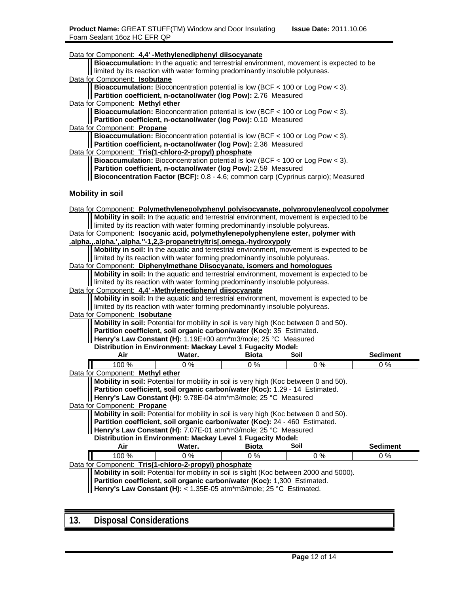| Data for Component: 4,4' -Methylenediphenyl diisocyanate                                                                                                             |                                                                                                                                                              |              | Bioaccumulation: In the aquatic and terrestrial environment, movement is expected to be   |                 |  |
|----------------------------------------------------------------------------------------------------------------------------------------------------------------------|--------------------------------------------------------------------------------------------------------------------------------------------------------------|--------------|-------------------------------------------------------------------------------------------|-----------------|--|
| limited by its reaction with water forming predominantly insoluble polyureas.                                                                                        |                                                                                                                                                              |              |                                                                                           |                 |  |
| Data for Component: Isobutane                                                                                                                                        |                                                                                                                                                              |              |                                                                                           |                 |  |
| Partition coefficient, n-octanol/water (log Pow): 2.76 Measured                                                                                                      |                                                                                                                                                              |              | <b>Bioaccumulation:</b> Bioconcentration potential is low (BCF $<$ 100 or Log Pow $<$ 3). |                 |  |
| Data for Component: Methyl ether                                                                                                                                     |                                                                                                                                                              |              |                                                                                           |                 |  |
|                                                                                                                                                                      | Bioaccumulation: Bioconcentration potential is low (BCF < 100 or Log Pow < 3).<br>Partition coefficient, n-octanol/water (log Pow): 0.10 Measured            |              |                                                                                           |                 |  |
| Data for Component: Propane                                                                                                                                          |                                                                                                                                                              |              |                                                                                           |                 |  |
|                                                                                                                                                                      | <b>Bioaccumulation:</b> Bioconcentration potential is low (BCF $<$ 100 or Log Pow $<$ 3).<br>Partition coefficient, n-octanol/water (log Pow): 2.36 Measured |              |                                                                                           |                 |  |
| Data for Component: Tris(1-chloro-2-propyl) phosphate                                                                                                                |                                                                                                                                                              |              |                                                                                           |                 |  |
|                                                                                                                                                                      |                                                                                                                                                              |              | <b>Bioaccumulation:</b> Bioconcentration potential is low (BCF $<$ 100 or Log Pow $<$ 3). |                 |  |
| Partition coefficient, n-octanol/water (log Pow): 2.59 Measured                                                                                                      |                                                                                                                                                              |              |                                                                                           |                 |  |
| Bioconcentration Factor (BCF): 0.8 - 4.6; common carp (Cyprinus carpio); Measured                                                                                    |                                                                                                                                                              |              |                                                                                           |                 |  |
| <b>Mobility in soil</b>                                                                                                                                              |                                                                                                                                                              |              |                                                                                           |                 |  |
| Data for Component: Polymethylenepolyphenyl polyisocyanate, polypropyleneglycol copolymer                                                                            |                                                                                                                                                              |              |                                                                                           |                 |  |
|                                                                                                                                                                      |                                                                                                                                                              |              | Mobility in soil: In the aquatic and terrestrial environment, movement is expected to be  |                 |  |
| limited by its reaction with water forming predominantly insoluble polyureas.                                                                                        |                                                                                                                                                              |              |                                                                                           |                 |  |
| Data for Component: Isocyanic acid, polymethylenepolyphenylene ester, polymer with                                                                                   |                                                                                                                                                              |              |                                                                                           |                 |  |
| .alpha.,.alpha.',.alpha."-1,2,3-propanetriyltris[.omega.-hydroxypoly                                                                                                 |                                                                                                                                                              |              |                                                                                           |                 |  |
|                                                                                                                                                                      |                                                                                                                                                              |              | Mobility in soil: In the aquatic and terrestrial environment, movement is expected to be  |                 |  |
| limited by its reaction with water forming predominantly insoluble polyureas.                                                                                        |                                                                                                                                                              |              |                                                                                           |                 |  |
| Data for Component: Diphenylmethane Diisocyanate, isomers and homologues<br>Mobility in soil: In the aquatic and terrestrial environment, movement is expected to be |                                                                                                                                                              |              |                                                                                           |                 |  |
| limited by its reaction with water forming predominantly insoluble polyureas.                                                                                        |                                                                                                                                                              |              |                                                                                           |                 |  |
| Data for Component: 4,4' -Methylenediphenyl diisocyanate                                                                                                             |                                                                                                                                                              |              |                                                                                           |                 |  |
| Mobility in soil: In the aquatic and terrestrial environment, movement is expected to be                                                                             |                                                                                                                                                              |              |                                                                                           |                 |  |
|                                                                                                                                                                      | limited by its reaction with water forming predominantly insoluble polyureas.                                                                                |              |                                                                                           |                 |  |
| Data for Component: Isobutane                                                                                                                                        |                                                                                                                                                              |              |                                                                                           |                 |  |
| Mobility in soil: Potential for mobility in soil is very high (Koc between 0 and 50).                                                                                |                                                                                                                                                              |              |                                                                                           |                 |  |
| Partition coefficient, soil organic carbon/water (Koc): 35 Estimated.                                                                                                |                                                                                                                                                              |              |                                                                                           |                 |  |
| Henry's Law Constant (H): 1.19E+00 atm*m3/mole; 25 °C Measured                                                                                                       |                                                                                                                                                              |              |                                                                                           |                 |  |
| Distribution in Environment: Mackay Level 1 Fugacity Model:                                                                                                          |                                                                                                                                                              |              |                                                                                           |                 |  |
| Air                                                                                                                                                                  | Water.                                                                                                                                                       | <b>Biota</b> | Soil                                                                                      | <b>Sediment</b> |  |
| 100 %                                                                                                                                                                | 0%                                                                                                                                                           | 0%           | $0\%$                                                                                     | $0\%$           |  |
| Data for Component: Methyl ether                                                                                                                                     |                                                                                                                                                              |              |                                                                                           |                 |  |
| Mobility in soil: Potential for mobility in soil is very high (Koc between 0 and 50).                                                                                |                                                                                                                                                              |              |                                                                                           |                 |  |
| Partition coefficient, soil organic carbon/water (Koc): 1.29 - 14 Estimated.                                                                                         |                                                                                                                                                              |              |                                                                                           |                 |  |
| Henry's Law Constant (H): 9.78E-04 atm*m3/mole; 25 °C Measured                                                                                                       |                                                                                                                                                              |              |                                                                                           |                 |  |
| Data for Component: Propane                                                                                                                                          |                                                                                                                                                              |              |                                                                                           |                 |  |
| Partition coefficient, soil organic carbon/water (Koc): 24 - 460 Estimated.                                                                                          |                                                                                                                                                              |              | Mobility in soil: Potential for mobility in soil is very high (Koc between 0 and 50).     |                 |  |
|                                                                                                                                                                      |                                                                                                                                                              |              |                                                                                           |                 |  |
| Henry's Law Constant (H): 7.07E-01 atm*m3/mole; 25 °C Measured<br>Distribution in Environment: Mackay Level 1 Fugacity Model:                                        |                                                                                                                                                              |              |                                                                                           |                 |  |
| Air                                                                                                                                                                  | Water.                                                                                                                                                       | <b>Biota</b> | Soil                                                                                      | <b>Sediment</b> |  |
| 100 %                                                                                                                                                                | $0\%$                                                                                                                                                        | 0%           | 0%                                                                                        | 0%              |  |
| Data for Component: Tris(1-chloro-2-propyl) phosphate                                                                                                                |                                                                                                                                                              |              |                                                                                           |                 |  |
|                                                                                                                                                                      |                                                                                                                                                              |              | Mobility in soil: Potential for mobility in soil is slight (Koc between 2000 and 5000).   |                 |  |
| Partition coefficient, soil organic carbon/water (Koc): 1,300 Estimated.                                                                                             |                                                                                                                                                              |              |                                                                                           |                 |  |
| Henry's Law Constant (H): < 1.35E-05 atm*m3/mole; 25 °C Estimated.                                                                                                   |                                                                                                                                                              |              |                                                                                           |                 |  |
|                                                                                                                                                                      |                                                                                                                                                              |              |                                                                                           |                 |  |

# **13. Disposal Considerations**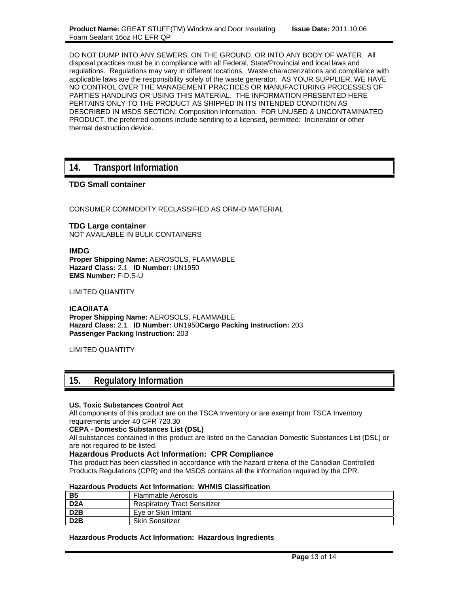DO NOT DUMP INTO ANY SEWERS, ON THE GROUND, OR INTO ANY BODY OF WATER. All disposal practices must be in compliance with all Federal, State/Provincial and local laws and regulations. Regulations may vary in different locations. Waste characterizations and compliance with applicable laws are the responsibility solely of the waste generator. AS YOUR SUPPLIER, WE HAVE NO CONTROL OVER THE MANAGEMENT PRACTICES OR MANUFACTURING PROCESSES OF PARTIES HANDLING OR USING THIS MATERIAL. THE INFORMATION PRESENTED HERE PERTAINS ONLY TO THE PRODUCT AS SHIPPED IN ITS INTENDED CONDITION AS DESCRIBED IN MSDS SECTION: Composition Information. FOR UNUSED & UNCONTAMINATED PRODUCT, the preferred options include sending to a licensed, permitted: Incinerator or other thermal destruction device.

## **14. Transport Information**

## **TDG Small container**

CONSUMER COMMODITY RECLASSIFIED AS ORM-D MATERIAL

**TDG Large container** NOT AVAILABLE IN BULK CONTAINERS

**IMDG Proper Shipping Name:** AEROSOLS, FLAMMABLE **Hazard Class:** 2.1 **ID Number:** UN1950 **EMS Number:** F-D,S-U

LIMITED QUANTITY

**ICAO/IATA Proper Shipping Name:** AEROSOLS, FLAMMABLE **Hazard Class:** 2.1 **ID Number:** UN1950**Cargo Packing Instruction:** 203 **Passenger Packing Instruction:** 203

LIMITED QUANTITY

## **15. Regulatory Information**

### **US. Toxic Substances Control Act**

All components of this product are on the TSCA Inventory or are exempt from TSCA Inventory requirements under 40 CFR 720.30

### **CEPA - Domestic Substances List (DSL)**

All substances contained in this product are listed on the Canadian Domestic Substances List (DSL) or are not required to be listed.

### **Hazardous Products Act Information: CPR Compliance**

This product has been classified in accordance with the hazard criteria of the Canadian Controlled Products Regulations (CPR) and the MSDS contains all the information required by the CPR.

### **Hazardous Products Act Information: WHMIS Classification**

| <b>B5</b>        | Flammable Aerosols                  |
|------------------|-------------------------------------|
| D <sub>2</sub> A | <b>Respiratory Tract Sensitizer</b> |
| D <sub>2</sub> B | Eye or Skin Irritant                |
| D <sub>2</sub> B | <b>Skin Sensitizer</b>              |

### **Hazardous Products Act Information: Hazardous Ingredients**